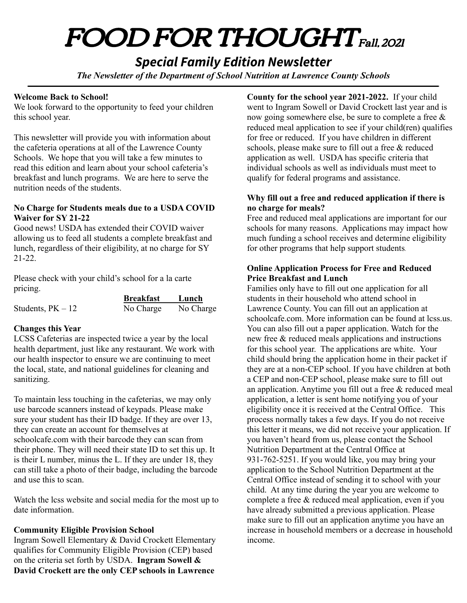# FOOD FOR THOUGHT Fall, <sup>2021</sup>

# *Special Family Edition Newsletter*

*The Newsletter of the Department of School Nutrition at Lawrence County Schools*

#### **Welcome Back to School!**

We look forward to the opportunity to feed your children this school year.

This newsletter will provide you with information about the cafeteria operations at all of the Lawrence County Schools. We hope that you will take a few minutes to read this edition and learn about your school cafeteria's breakfast and lunch programs. We are here to serve the nutrition needs of the students.

#### **No Charge for Students meals due to a USDA COVID Waiver for SY 21-22**

Good news! USDA has extended their COVID waiver allowing us to feed all students a complete breakfast and lunch, regardless of their eligibility, at no charge for SY 21-22.

Please check with your child's school for a la carte pricing.

|                     | <b>Breakfast</b> | Lunch     |
|---------------------|------------------|-----------|
| Students, $PK - 12$ | No Charge        | No Charge |

## **Changes this Year**

LCSS Cafeterias are inspected twice a year by the local health department, just like any restaurant. We work with our health inspector to ensure we are continuing to meet the local, state, and national guidelines for cleaning and sanitizing.

To maintain less touching in the cafeterias, we may only use barcode scanners instead of keypads. Please make sure your student has their ID badge. If they are over 13, they can create an account for themselves at schoolcafe.com with their barcode they can scan from their phone. They will need their state ID to set this up. It is their L number, minus the L. If they are under 18, they can still take a photo of their badge, including the barcode and use this to scan.

Watch the lcss website and social media for the most up to date information.

## **Community Eligible Provision School**

Ingram Sowell Elementary & David Crockett Elementary qualifies for Community Eligible Provision (CEP) based on the criteria set forth by USDA. **Ingram Sowell & David Crockett are the only CEP schools in Lawrence**

**County for the school year 2021-2022.** If your child went to Ingram Sowell or David Crockett last year and is now going somewhere else, be sure to complete a free  $\&$ reduced meal application to see if your child(ren) qualifies for free or reduced. If you have children in different schools, please make sure to fill out a free & reduced application as well. USDA has specific criteria that individual schools as well as individuals must meet to qualify for federal programs and assistance.

#### **Why fill out a free and reduced application if there is no charge for meals?**

Free and reduced meal applications are important for our schools for many reasons. Applications may impact how much funding a school receives and determine eligibility for other programs that help support students.

#### **Online Application Process for Free and Reduced Price Breakfast and Lunch**

Families only have to fill out one application for all students in their household who attend school in Lawrence County. You can fill out an application at schoolcafe.com. More information can be found at lcss.us. You can also fill out a paper application. Watch for the new free & reduced meals applications and instructions for this school year. The applications are white. Your child should bring the application home in their packet if they are at a non-CEP school. If you have children at both a CEP and non-CEP school, please make sure to fill out an application. Anytime you fill out a free & reduced meal application, a letter is sent home notifying you of your eligibility once it is received at the Central Office. This process normally takes a few days. If you do not receive this letter it means, we did not receive your application. If you haven't heard from us, please contact the School Nutrition Department at the Central Office at 931-762-5251. If you would like, you may bring your application to the School Nutrition Department at the Central Office instead of sending it to school with your child. At any time during the year you are welcome to complete a free & reduced meal application, even if you have already submitted a previous application. Please make sure to fill out an application anytime you have an increase in household members or a decrease in household income.